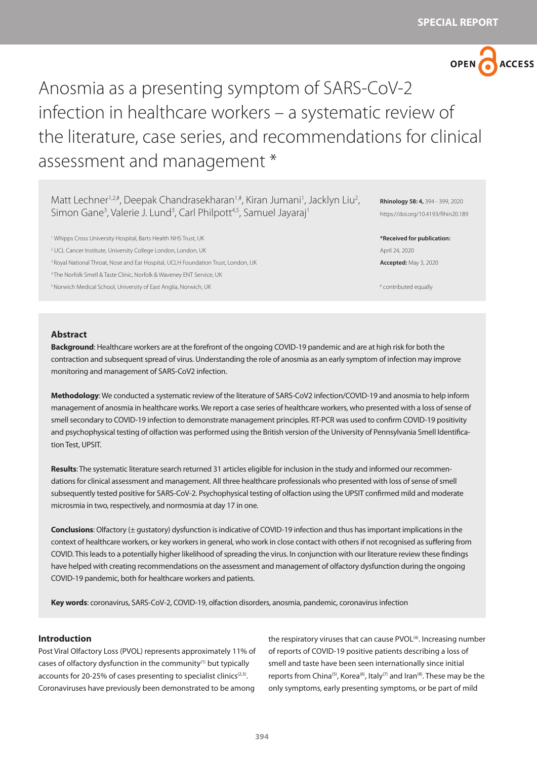

# Anosmia as a presenting symptom of SARS-CoV-2 infection in healthcare workers – a systematic review of the literature, case series, and recommendations for clinical assessment and management \*

Matt Lechner<sup>1,2,#</sup>, Deepak Chandrasekharan<sup>1,#</sup>, Kiran Jumani<sup>1</sup>, Jacklyn Liu<sup>2</sup>, Simon Gane<sup>3</sup>, Valerie J. Lund<sup>3</sup>, Carl Philpott<sup>4,5</sup>, Samuel Jayaraj<sup>1</sup>

1 Whipps Cross University Hospital, Barts Health NHS Trust, UK 2 UCL Cancer Institute, University College London, London, UK <sup>3</sup> Royal National Throat, Nose and Ear Hospital, UCLH Foundation Trust, London, UK 4 The Norfolk Smell & Taste Clinic, Norfolk & Waveney ENT Service, UK

5 Norwich Medical School, University of East Anglia, Norwich, UK

**Rhinology 58: 4,** 394 - 399, 2020 https://doi.org/10.4193/Rhin20.189

**\*Received for publication:** April 24, 2020 **Accepted:** May 3, 2020

# contributed equally

### **Abstract**

**Background**: Healthcare workers are at the forefront of the ongoing COVID-19 pandemic and are at high risk for both the contraction and subsequent spread of virus. Understanding the role of anosmia as an early symptom of infection may improve monitoring and management of SARS-CoV2 infection.

**Methodology**: We conducted a systematic review of the literature of SARS-CoV2 infection/COVID-19 and anosmia to help inform management of anosmia in healthcare works. We report a case series of healthcare workers, who presented with a loss of sense of smell secondary to COVID-19 infection to demonstrate management principles. RT-PCR was used to confirm COVID-19 positivity and psychophysical testing of olfaction was performed using the British version of the University of Pennsylvania Smell Identification Test, UPSIT.

**Results**: The systematic literature search returned 31 articles eligible for inclusion in the study and informed our recommendations for clinical assessment and management. All three healthcare professionals who presented with loss of sense of smell subsequently tested positive for SARS-CoV-2. Psychophysical testing of olfaction using the UPSIT confirmed mild and moderate microsmia in two, respectively, and normosmia at day 17 in one.

**Conclusions**: Olfactory (± gustatory) dysfunction is indicative of COVID-19 infection and thus has important implications in the context of healthcare workers, or key workers in general, who work in close contact with others if not recognised as suffering from COVID. This leads to a potentially higher likelihood of spreading the virus. In conjunction with our literature review these findings have helped with creating recommendations on the assessment and management of olfactory dysfunction during the ongoing COVID-19 pandemic, both for healthcare workers and patients.

**Key words**: coronavirus, SARS-CoV-2, COVID-19, olfaction disorders, anosmia, pandemic, coronavirus infection

# **Introduction**

Post Viral Olfactory Loss (PVOL) represents approximately 11% of cases of olfactory dysfunction in the community<sup>(1)</sup> but typically accounts for 20-25% of cases presenting to specialist clinics<sup>(2,3)</sup>. Coronaviruses have previously been demonstrated to be among

the respiratory viruses that can cause PVOL<sup>(4)</sup>. Increasing number of reports of COVID-19 positive patients describing a loss of smell and taste have been seen internationally since initial reports from China<sup>(5)</sup>, Korea<sup>(6)</sup>, Italy<sup>(7)</sup> and Iran<sup>(8)</sup>. These may be the only symptoms, early presenting symptoms, or be part of mild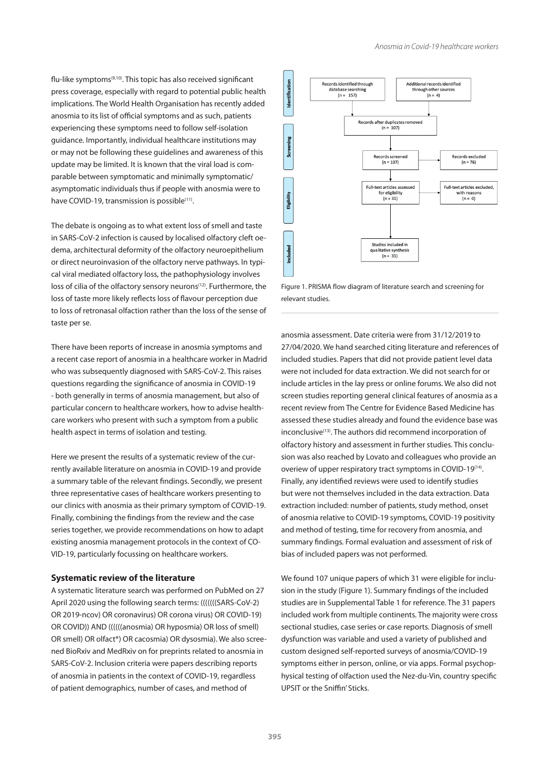flu-like symptoms<sup>(9,10)</sup>. This topic has also received significant press coverage, especially with regard to potential public health implications. The World Health Organisation has recently added anosmia to its list of official symptoms and as such, patients experiencing these symptoms need to follow self-isolation guidance. Importantly, individual healthcare institutions may or may not be following these guidelines and awareness of this update may be limited. It is known that the viral load is comparable between symptomatic and minimally symptomatic/ asymptomatic individuals thus if people with anosmia were to have COVID-19, transmission is possible<sup>(11)</sup>.

The debate is ongoing as to what extent loss of smell and taste in SARS-CoV-2 infection is caused by localised olfactory cleft oedema, architectural deformity of the olfactory neuroepithelium or direct neuroinvasion of the olfactory nerve pathways. In typical viral mediated olfactory loss, the pathophysiology involves loss of cilia of the olfactory sensory neurons<sup>(12)</sup>. Furthermore, the loss of taste more likely reflects loss of flavour perception due to loss of retronasal olfaction rather than the loss of the sense of taste per se.

There have been reports of increase in anosmia symptoms and a recent case report of anosmia in a healthcare worker in Madrid who was subsequently diagnosed with SARS-CoV-2. This raises questions regarding the significance of anosmia in COVID-19 - both generally in terms of anosmia management, but also of particular concern to healthcare workers, how to advise healthcare workers who present with such a symptom from a public health aspect in terms of isolation and testing.

Here we present the results of a systematic review of the currently available literature on anosmia in COVID-19 and provide a summary table of the relevant findings. Secondly, we present three representative cases of healthcare workers presenting to our clinics with anosmia as their primary symptom of COVID-19. Finally, combining the findings from the review and the case series together, we provide recommendations on how to adapt existing anosmia management protocols in the context of CO-VID-19, particularly focussing on healthcare workers.

# **Systematic review of the literature**

A systematic literature search was performed on PubMed on 27 April 2020 using the following search terms: (((((((SARS-CoV-2) OR 2019-ncov) OR coronavirus) OR corona virus) OR COVID-19) OR COVID)) AND ((((((anosmia) OR hyposmia) OR loss of smell) OR smell) OR olfact\*) OR cacosmia) OR dysosmia). We also screened BioRxiv and MedRxiv on for preprints related to anosmia in SARS-CoV-2. Inclusion criteria were papers describing reports of anosmia in patients in the context of COVID-19, regardless of patient demographics, number of cases, and method of



Figure 1. PRISMA flow diagram of literature search and screening for relevant studies.

anosmia assessment. Date criteria were from 31/12/2019 to 27/04/2020. We hand searched citing literature and references of included studies. Papers that did not provide patient level data were not included for data extraction. We did not search for or include articles in the lay press or online forums. We also did not screen studies reporting general clinical features of anosmia as a recent review from The Centre for Evidence Based Medicine has assessed these studies already and found the evidence base was inconclusive<sup>(13)</sup>. The authors did recommend incorporation of olfactory history and assessment in further studies. This conclusion was also reached by Lovato and colleagues who provide an overiew of upper respiratory tract symptoms in COVID-19<sup>(14)</sup>. Finally, any identified reviews were used to identify studies but were not themselves included in the data extraction. Data extraction included: number of patients, study method, onset of anosmia relative to COVID-19 symptoms, COVID-19 positivity and method of testing, time for recovery from anosmia, and summary findings. Formal evaluation and assessment of risk of bias of included papers was not performed.

We found 107 unique papers of which 31 were eligible for inclusion in the study (Figure 1). Summary findings of the included studies are in Supplemental Table 1 for reference. The 31 papers included work from multiple continents. The majority were cross sectional studies, case series or case reports. Diagnosis of smell dysfunction was variable and used a variety of published and custom designed self-reported surveys of anosmia/COVID-19 symptoms either in person, online, or via apps. Formal psychophysical testing of olfaction used the Nez-du-Vin, country specific UPSIT or the Sniffin' Sticks.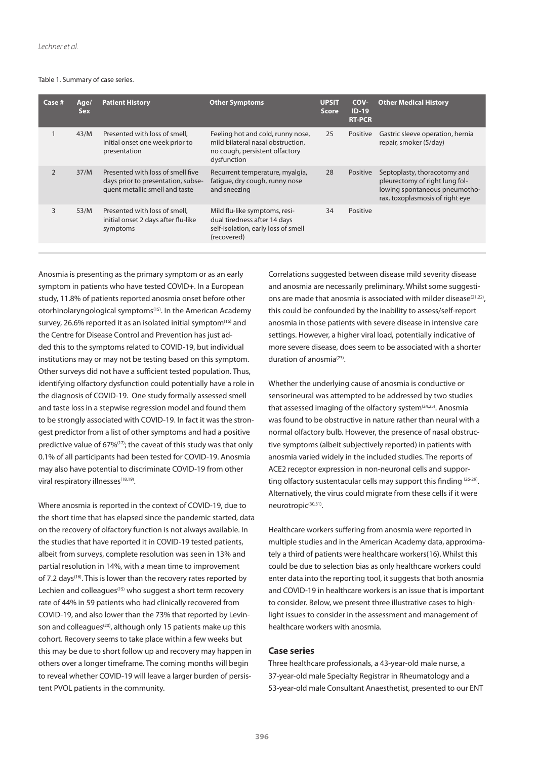#### Table 1. Summary of case series.

| Case #         | Age/<br><b>Sex</b> | <b>Patient History</b>                                                                                    | <b>Other Symptoms</b>                                                                                                   | <b>UPSIT</b><br><b>Score</b> | COV-<br>$ID-19$<br><b>RT-PCR</b> | <b>Other Medical History</b>                                                                                                       |
|----------------|--------------------|-----------------------------------------------------------------------------------------------------------|-------------------------------------------------------------------------------------------------------------------------|------------------------------|----------------------------------|------------------------------------------------------------------------------------------------------------------------------------|
|                | 43/M               | Presented with loss of smell,<br>initial onset one week prior to<br>presentation                          | Feeling hot and cold, runny nose,<br>mild bilateral nasal obstruction,<br>no cough, persistent olfactory<br>dysfunction | 25                           | Positive                         | Gastric sleeve operation, hernia<br>repair, smoker (5/day)                                                                         |
| $\overline{2}$ | 37/M               | Presented with loss of smell five<br>days prior to presentation, subse-<br>quent metallic smell and taste | Recurrent temperature, myalgia,<br>fatique, dry cough, runny nose<br>and sneezing                                       | 28                           | Positive                         | Septoplasty, thoracotomy and<br>pleurectomy of right lung fol-<br>lowing spontaneous pneumotho-<br>rax, toxoplasmosis of right eye |
| 3              | 53/M               | Presented with loss of smell,<br>initial onset 2 days after flu-like<br>symptoms                          | Mild flu-like symptoms, resi-<br>dual tiredness after 14 days<br>self-isolation, early loss of smell<br>(recovered)     | 34                           | Positive                         |                                                                                                                                    |

Anosmia is presenting as the primary symptom or as an early symptom in patients who have tested COVID+. In a European study, 11.8% of patients reported anosmia onset before other otorhinolaryngological symptoms(15). In the American Academy survey, 26.6% reported it as an isolated initial symptom<sup>(16)</sup> and the Centre for Disease Control and Prevention has just added this to the symptoms related to COVID-19, but individual institutions may or may not be testing based on this symptom. Other surveys did not have a sufficient tested population. Thus, identifying olfactory dysfunction could potentially have a role in the diagnosis of COVID-19. One study formally assessed smell and taste loss in a stepwise regression model and found them to be strongly associated with COVID-19. In fact it was the strongest predictor from a list of other symptoms and had a positive predictive value of 67%(17); the caveat of this study was that only 0.1% of all participants had been tested for COVID-19. Anosmia may also have potential to discriminate COVID-19 from other viral respiratory illnesses<sup>(18,19)</sup>.

Where anosmia is reported in the context of COVID-19, due to the short time that has elapsed since the pandemic started, data on the recovery of olfactory function is not always available. In the studies that have reported it in COVID-19 tested patients, albeit from surveys, complete resolution was seen in 13% and partial resolution in 14%, with a mean time to improvement of 7.2 days<sup>(16)</sup>. This is lower than the recovery rates reported by Lechien and colleagues<sup>(15)</sup> who suggest a short term recovery rate of 44% in 59 patients who had clinically recovered from COVID-19, and also lower than the 73% that reported by Levinson and colleagues<sup>(20)</sup>, although only 15 patients make up this cohort. Recovery seems to take place within a few weeks but this may be due to short follow up and recovery may happen in others over a longer timeframe. The coming months will begin to reveal whether COVID-19 will leave a larger burden of persistent PVOL patients in the community.

Correlations suggested between disease mild severity disease and anosmia are necessarily preliminary. Whilst some suggestions are made that anosmia is associated with milder disease<sup>(21,22)</sup>, this could be confounded by the inability to assess/self-report anosmia in those patients with severe disease in intensive care settings. However, a higher viral load, potentially indicative of more severe disease, does seem to be associated with a shorter duration of anosmia<sup>(23)</sup>.

Whether the underlying cause of anosmia is conductive or sensorineural was attempted to be addressed by two studies that assessed imaging of the olfactory system<sup>(24,25)</sup>. Anosmia was found to be obstructive in nature rather than neural with a normal olfactory bulb. However, the presence of nasal obstructive symptoms (albeit subjectively reported) in patients with anosmia varied widely in the included studies. The reports of ACE2 receptor expression in non-neuronal cells and supporting olfactory sustentacular cells may support this finding (26-29). Alternatively, the virus could migrate from these cells if it were neurotropic<sup>(30,31)</sup>.

Healthcare workers suffering from anosmia were reported in multiple studies and in the American Academy data, approximately a third of patients were healthcare workers(16). Whilst this could be due to selection bias as only healthcare workers could enter data into the reporting tool, it suggests that both anosmia and COVID-19 in healthcare workers is an issue that is important to consider. Below, we present three illustrative cases to highlight issues to consider in the assessment and management of healthcare workers with anosmia.

# **Case series**

Three healthcare professionals, a 43-year-old male nurse, a 37-year-old male Specialty Registrar in Rheumatology and a 53-year-old male Consultant Anaesthetist, presented to our ENT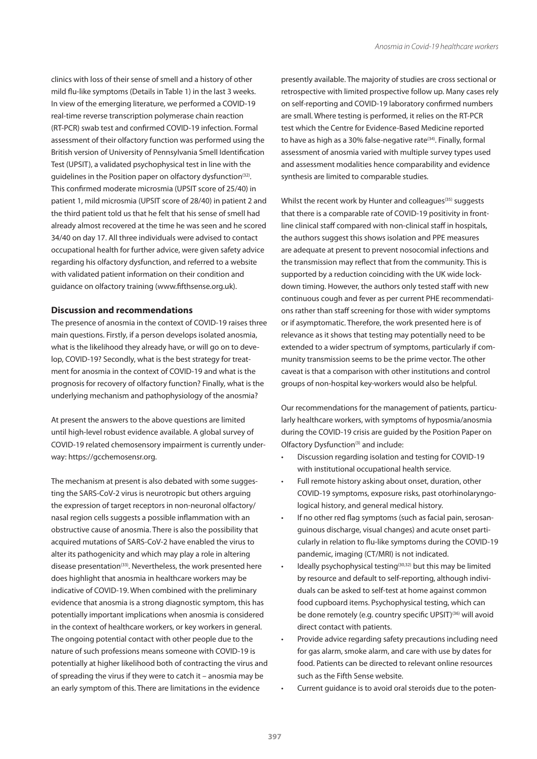clinics with loss of their sense of smell and a history of other mild flu-like symptoms (Details in Table 1) in the last 3 weeks. In view of the emerging literature, we performed a COVID-19 real-time reverse transcription polymerase chain reaction (RT-PCR) swab test and confirmed COVID-19 infection. Formal assessment of their olfactory function was performed using the British version of University of Pennsylvania Smell Identification Test (UPSIT), a validated psychophysical test in line with the guidelines in the Position paper on olfactory dysfunction<sup>(32)</sup>. This confirmed moderate microsmia (UPSIT score of 25/40) in patient 1, mild microsmia (UPSIT score of 28/40) in patient 2 and the third patient told us that he felt that his sense of smell had already almost recovered at the time he was seen and he scored 34/40 on day 17. All three individuals were advised to contact occupational health for further advice, were given safety advice regarding his olfactory dysfunction, and referred to a website with validated patient information on their condition and guidance on olfactory training (www.fifthsense.org.uk).

# **Discussion and recommendations**

The presence of anosmia in the context of COVID-19 raises three main questions. Firstly, if a person develops isolated anosmia, what is the likelihood they already have, or will go on to develop, COVID-19? Secondly, what is the best strategy for treatment for anosmia in the context of COVID-19 and what is the prognosis for recovery of olfactory function? Finally, what is the underlying mechanism and pathophysiology of the anosmia?

At present the answers to the above questions are limited until high-level robust evidence available. A global survey of COVID-19 related chemosensory impairment is currently underway: https://gcchemosensr.org.

The mechanism at present is also debated with some suggesting the SARS-CoV-2 virus is neurotropic but others arguing the expression of target receptors in non-neuronal olfactory/ nasal region cells suggests a possible inflammation with an obstructive cause of anosmia. There is also the possibility that acquired mutations of SARS-CoV-2 have enabled the virus to alter its pathogenicity and which may play a role in altering disease presentation<sup>(33)</sup>. Nevertheless, the work presented here does highlight that anosmia in healthcare workers may be indicative of COVID-19. When combined with the preliminary evidence that anosmia is a strong diagnostic symptom, this has potentially important implications when anosmia is considered in the context of healthcare workers, or key workers in general. The ongoing potential contact with other people due to the nature of such professions means someone with COVID-19 is potentially at higher likelihood both of contracting the virus and of spreading the virus if they were to catch it – anosmia may be an early symptom of this. There are limitations in the evidence

presently available. The majority of studies are cross sectional or retrospective with limited prospective follow up. Many cases rely on self-reporting and COVID-19 laboratory confirmed numbers are small. Where testing is performed, it relies on the RT-PCR test which the Centre for Evidence-Based Medicine reported to have as high as a 30% false-negative rate<sup>(34)</sup>. Finally, formal assessment of anosmia varied with multiple survey types used and assessment modalities hence comparability and evidence synthesis are limited to comparable studies.

Whilst the recent work by Hunter and colleagues<sup>(35)</sup> suggests that there is a comparable rate of COVID-19 positivity in frontline clinical staff compared with non-clinical staff in hospitals, the authors suggest this shows isolation and PPE measures are adequate at present to prevent nosocomial infections and the transmission may reflect that from the community. This is supported by a reduction coinciding with the UK wide lockdown timing. However, the authors only tested staff with new continuous cough and fever as per current PHE recommendations rather than staff screening for those with wider symptoms or if asymptomatic. Therefore, the work presented here is of relevance as it shows that testing may potentially need to be extended to a wider spectrum of symptoms, particularly if community transmission seems to be the prime vector. The other caveat is that a comparison with other institutions and control groups of non-hospital key-workers would also be helpful.

Our recommendations for the management of patients, particularly healthcare workers, with symptoms of hyposmia/anosmia during the COVID-19 crisis are guided by the Position Paper on Olfactory Dysfunction<sup>(3)</sup> and include:

- Discussion regarding isolation and testing for COVID-19 with institutional occupational health service.
- Full remote history asking about onset, duration, other COVID-19 symptoms, exposure risks, past otorhinolaryngological history, and general medical history.
- If no other red flag symptoms (such as facial pain, serosanguinous discharge, visual changes) and acute onset particularly in relation to flu-like symptoms during the COVID-19 pandemic, imaging (CT/MRI) is not indicated.
- Ideally psychophysical testing<sup>(30,32)</sup> but this may be limited by resource and default to self-reporting, although individuals can be asked to self-test at home against common food cupboard items. Psychophysical testing, which can be done remotely (e.g. country specific UPSIT)<sup>(36)</sup> will avoid direct contact with patients.
- Provide advice regarding safety precautions including need for gas alarm, smoke alarm, and care with use by dates for food. Patients can be directed to relevant online resources such as the Fifth Sense website.
- Current guidance is to avoid oral steroids due to the poten-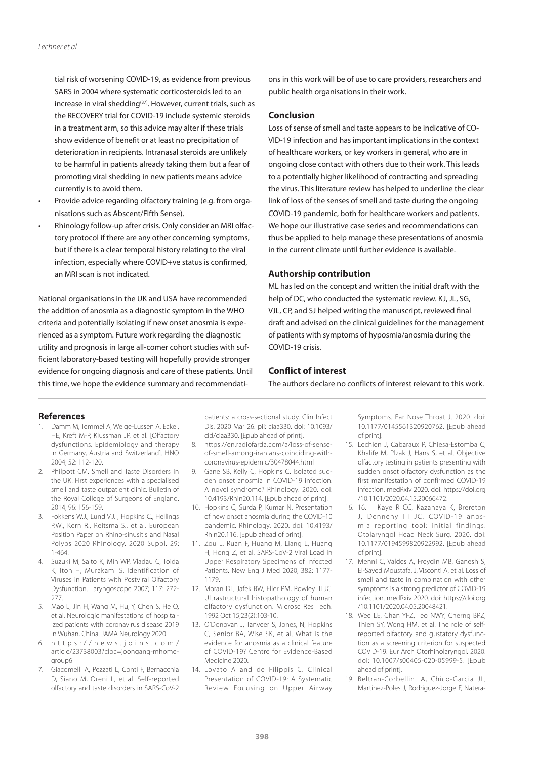tial risk of worsening COVID-19, as evidence from previous SARS in 2004 where systematic corticosteroids led to an increase in viral shedding<sup>(37)</sup>. However, current trials, such as the RECOVERY trial for COVID-19 include systemic steroids in a treatment arm, so this advice may alter if these trials show evidence of benefit or at least no precipitation of deterioration in recipients. Intranasal steroids are unlikely to be harmful in patients already taking them but a fear of promoting viral shedding in new patients means advice currently is to avoid them.

- Provide advice regarding olfactory training (e.g. from organisations such as Abscent/Fifth Sense).
- Rhinology follow-up after crisis. Only consider an MRI olfactory protocol if there are any other concerning symptoms, but if there is a clear temporal history relating to the viral infection, especially where COVID+ve status is confirmed, an MRI scan is not indicated.

National organisations in the UK and USA have recommended the addition of anosmia as a diagnostic symptom in the WHO criteria and potentially isolating if new onset anosmia is experienced as a symptom. Future work regarding the diagnostic utility and prognosis in large all-comer cohort studies with sufficient laboratory-based testing will hopefully provide stronger evidence for ongoing diagnosis and care of these patients. Until this time, we hope the evidence summary and recommendations in this work will be of use to care providers, researchers and public health organisations in their work.

#### **Conclusion**

Loss of sense of smell and taste appears to be indicative of CO-VID-19 infection and has important implications in the context of healthcare workers, or key workers in general, who are in ongoing close contact with others due to their work. This leads to a potentially higher likelihood of contracting and spreading the virus. This literature review has helped to underline the clear link of loss of the senses of smell and taste during the ongoing COVID-19 pandemic, both for healthcare workers and patients. We hope our illustrative case series and recommendations can thus be applied to help manage these presentations of anosmia in the current climate until further evidence is available.

# **Authorship contribution**

ML has led on the concept and written the initial draft with the help of DC, who conducted the systematic review. KJ, JL, SG, VJL, CP, and SJ helped writing the manuscript, reviewed final draft and advised on the clinical guidelines for the management of patients with symptoms of hyposmia/anosmia during the COVID-19 crisis.

# **Conflict of interest**

The authors declare no conflicts of interest relevant to this work.

#### **References**

- 1. Damm M, Temmel A, Welge-Lussen A, Eckel, HE, Kreft M-P, Klussman JP, et al. [Olfactory dysfunctions. Epidemiology and therapy in Germany, Austria and Switzerland]. HNO 2004; 52: 112-120.
- 2. Philpott CM. Smell and Taste Disorders in the UK: First experiences with a specialised smell and taste outpatient clinic. Bulletin of the Royal College of Surgeons of England. 2014; 96: 156-159.
- 3. Fokkens W.J., Lund V.J. , Hopkins C., Hellings P.W., Kern R., Reitsma S., et al. European Position Paper on Rhino-sinusitis and Nasal Polyps 2020 Rhinology. 2020 Suppl. 29: 1-464.
- 4. Suzuki M, Saito K, Min WP, Vladau C, Toida K, Itoh H, Murakami S. Identification of Viruses in Patients with Postviral Olfactory Dysfunction. Laryngoscope 2007; 117: 272- 277.
- 5. Mao L, Jin H, Wang M, Hu, Y, Chen S, He Q, et al. Neurologic manifestations of hospitalized patients with coronavirus disease 2019 in Wuhan, China. JAMA Neurology 2020.
- 6. https://news.joins.com/ article/23738003?cloc=joongang-mhomegroup6
- 7. Giacomelli A, Pezzati L, Conti F, Bernacchia D, Siano M, Oreni L, et al. Self-reported olfactory and taste disorders in SARS-CoV-2

patients: a cross-sectional study. Clin Infect Dis. 2020 Mar 26. pii: ciaa330. doi: 10.1093/ cid/ciaa330. [Epub ahead of print].

- 8. https://en.radiofarda.com/a/loss-of-senseof-smell-among-iranians-coinciding-withcoronavirus-epidemic/30478044.html
- 9. Gane SB, Kelly C, Hopkins C. Isolated sudden onset anosmia in COVID-19 infection. A novel syndrome? Rhinology. 2020. doi: 10.4193/Rhin20.114. [Epub ahead of print].
- 10. Hopkins C, Surda P, Kumar N. Presentation of new onset anosmia during the COVID-10 pandemic. Rhinology. 2020. doi: 10.4193/ Rhin20.116. [Epub ahead of print].
- 11. Zou L, Ruan F, Huang M, Liang L, Huang H, Hong Z, et al. SARS-CoV-2 Viral Load in Upper Respiratory Specimens of Infected Patients. New Eng J Med 2020; 382: 1177- 1179.
- 12. Moran DT, Jafek BW, Eller PM, Rowley III JC. Ultrastructural histopathology of human olfactory dysfunction. Microsc Res Tech. 1992 Oct 15;23(2):103-10.
- 13. O'Donovan J, Tanveer S, Jones, N, Hopkins C, Senior BA, Wise SK, et al. What is the evidence for anosmia as a clinical feature of COVID-19? Centre for Evidence-Based Medicine 2020.
- 14. Lovato A and de Filippis C. Clinical Presentation of COVID-19: A Systematic Review Focusing on Upper Airway

Symptoms. Ear Nose Throat J. 2020. doi: 10.1177/0145561320920762. [Epub ahead of print].

- 15. Lechien J, Cabaraux P, Chiesa-Estomba C, Khalife M, Plzak J, Hans S, et al. Objective olfactory testing in patients presenting with sudden onset olfactory dysfunction as the first manifestation of confirmed COVID-19 infection. medRxiv 2020. doi: https://doi.org /10.1101/2020.04.15.20066472.
- 16. 16. Kaye R CC, Kazahaya K, Brereton J, Denneny III JC. COVID-19 anosmia reporting tool: initial findings. Otolaryngol Head Neck Surg. 2020. doi: 10.1177/0194599820922992. [Epub ahead of print].
- 17. Menni C, Valdes A, Freydin MB, Ganesh S, El-Sayed Moustafa, J, Visconti A, et al. Loss of smell and taste in combination with other symptoms is a strong predictor of COVID-19 infection. medRxiv 2020. doi: https://doi.org /10.1101/2020.04.05.20048421.
- 18. Wee LE, Chan YFZ, Teo NWY, Cherng BPZ, Thien SY, Wong HM, et al. The role of selfreported olfactory and gustatory dysfunction as a screening criterion for suspected COVID-19. Eur Arch Otorhinolaryngol. 2020. doi: 10.1007/s00405-020-05999-5. [Epub ahead of print].
- 19. Beltran-Corbellini A, Chico-Garcia JL, Martinez-Poles J, Rodriguez-Jorge F, Natera-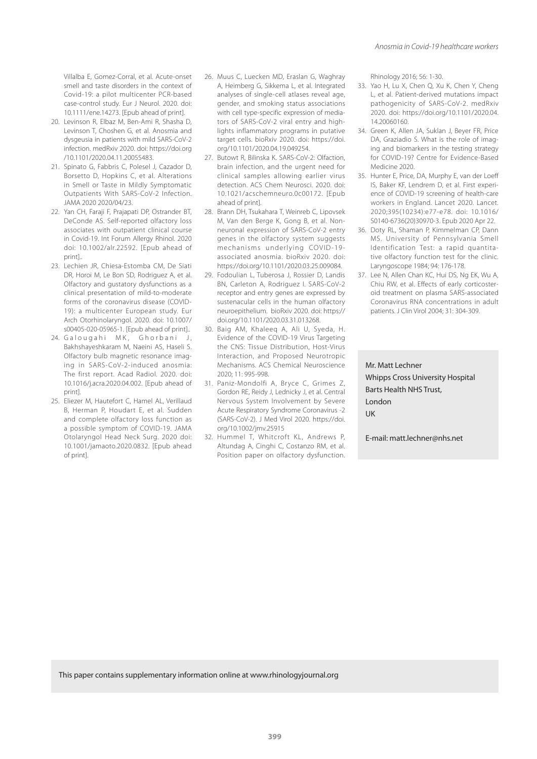Villalba E, Gomez-Corral, et al. Acute-onset smell and taste disorders in the context of Covid-19: a pilot multicenter PCR-based case-control study. Eur J Neurol. 2020. doi: 10.1111/ene.14273. [Epub ahead of print].

- 20. Levinson R, Elbaz M, Ben-Ami R, Shasha D, Levinson T, Choshen G, et al. Anosmia and dysgeusia in patients with mild SARS-CoV-2 infection. medRxiv 2020. doi: https://doi.org /10.1101/2020.04.11.20055483.
- 21. Spinato G, Fabbris C, Polesel J, Cazador D, Borsetto D, Hopkins C, et al. Alterations in Smell or Taste in Mildly Symptomatic Outpatients With SARS-CoV-2 Infection. JAMA 2020 2020/04/23.
- 22. Yan CH, Faraji F, Prajapati DP, Ostrander BT, DeConde AS. Self-reported olfactory loss associates with outpatient clinical course in Covid-19. Int Forum Allergy Rhinol. 2020 doi: 10.1002/alr.22592. [Epub ahead of print]..
- 23. Lechien JR, Chiesa-Estomba CM, De Siati DR, Horoi M, Le Bon SD, Rodriguez A, et al. Olfactory and gustatory dysfunctions as a clinical presentation of mild-to-moderate forms of the coronavirus disease (COVID-19): a multicenter European study. Eur Arch Otorhinolaryngol. 2020. doi: 10.1007/ s00405-020-05965-1. [Epub ahead of print]..
- 24. Galougahi MK, Ghorbani J, Bakhshayeshkaram M, Naeini AS, Haseli S. Olfactory bulb magnetic resonance imaging in SARS-CoV-2-induced anosmia: The first report. Acad Radiol. 2020. doi: 10.1016/j.acra.2020.04.002. [Epub ahead of print].
- 25. Eliezer M, Hautefort C, Hamel AL, Verillaud B, Herman P, Houdart E, et al. Sudden and complete olfactory loss function as a possible symptom of COVID-19. JAMA Otolaryngol Head Neck Surg. 2020 doi: 10.1001/jamaoto.2020.0832. [Epub ahead of print].
- 26. Muus C, Luecken MD, Eraslan G, Waghray A, Heimberg G, Sikkema L, et al. Integrated analyses of single-cell atlases reveal age, gender, and smoking status associations with cell type-specific expression of mediators of SARS-CoV-2 viral entry and highlights inflammatory programs in putative target cells. bioRxiv 2020. doi: https://doi. org/10.1101/2020.04.19.049254.
- 27. Butowt R, Bilinska K. SARS-CoV-2: Olfaction, brain infection, and the urgent need for clinical samples allowing earlier virus detection. ACS Chem Neurosci. 2020. doi: 10.1021/acschemneuro.0c00172. [Epub ahead of print].
- 28. Brann DH, Tsukahara T, Weinreb C, Lipovsek M, Van den Berge K, Gong B, et al. Nonneuronal expression of SARS-CoV-2 entry genes in the olfactory system suggests mechanisms underlying COVID-19 associated anosmia. bioRxiv 2020. doi: https://doi.org/10.1101/2020.03.25.009084.
- 29. Fodoulian L, Tuberosa J, Rossier D, Landis BN, Carleton A, Rodriguez I. SARS-CoV-2 receptor and entry genes are expressed by sustenacular cells in the human olfactory neuroepithelium. bioRxiv 2020. doi: https:// doi.org/10.1101/2020.03.31.013268.
- 30. Baig AM, Khaleeq A, Ali U, Syeda, H. Evidence of the COVID-19 Virus Targeting the CNS: Tissue Distribution, Host-Virus Interaction, and Proposed Neurotropic Mechanisms. ACS Chemical Neuroscience 2020; 11: 995-998.
- 31. Paniz-Mondolfi A, Bryce C, Grimes Z, Gordon RE, Reidy J, Lednicky J, et al. Central Nervous System Involvement by Severe Acute Respiratory Syndrome Coronavirus -2 (SARS-CoV-2). J Med Virol 2020. https://doi. org/10.1002/jmv.25915
- 32. Hummel T, Whitcroft KL, Andrews P, Altundag A, Cinghi C, Costanzo RM, et al. Position paper on olfactory dysfunction.

Rhinology 2016; 56: 1-30.

- 33. Yao H, Lu X, Chen Q, Xu K, Chen Y, Cheng L, et al. Patient-derived mutations impact pathogenicity of SARS-CoV-2. medRxiv 2020. doi: https://doi.org/10.1101/2020.04. 14.20060160.
- 34. Green K, Allen JA, Suklan J, Beyer FR, Price DA, Graziadio S. What is the role of imaging and biomarkers in the testing strategy for COVID-19? Centre for Evidence-Based Medicine 2020.
- 35. Hunter E, Price, DA, Murphy E, van der Loeff IS, Baker KF, Lendrem D, et al. First experience of COVID-19 screening of health-care workers in England. Lancet 2020. Lancet. 2020;395(10234):e77-e78. doi: 10.1016/ S0140-6736(20)30970-3. Epub 2020 Apr 22.
- 36. Doty RL, Shaman P, Kimmelman CP, Dann MS. University of Pennsylvania Smell Identification Test: a rapid quantitative olfactory function test for the clinic. Laryngoscope 1984; 94: 176-178.
- 37. Lee N, Allen Chan KC, Hui DS, Ng EK, Wu A, Chiu RW, et al. Effects of early corticosteroid treatment on plasma SARS-associated Coronavirus RNA concentrations in adult patients. J Clin Virol 2004; 31: 304-309.

Mr. Matt Lechner Whipps Cross University Hospital Barts Health NHS Trust, London UK

E-mail: matt.lechner@nhs.net

This paper contains supplementary information online at www.rhinologyjournal.org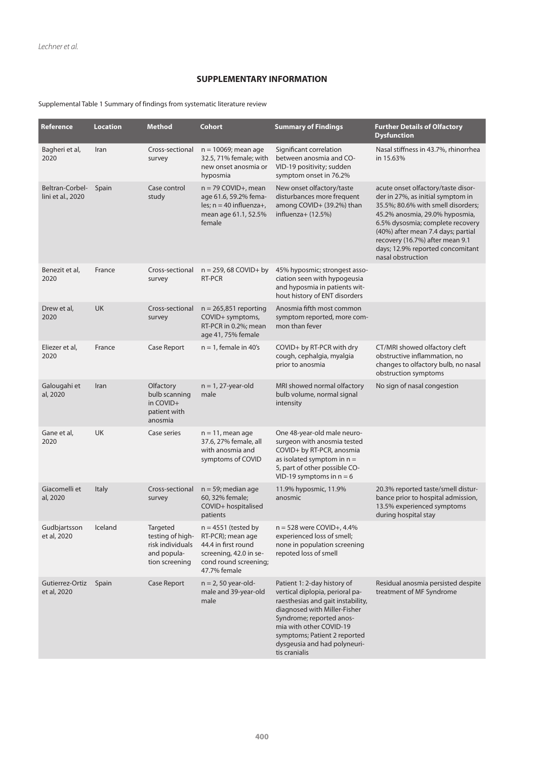# **SUPPLEMENTARY INFORMATION**

# Supplemental Table 1 Summary of findings from systematic literature review

| Reference                            | <b>Location</b> | <b>Method</b>                                                                     | <b>Cohort</b>                                                                                                                        | <b>Summary of Findings</b>                                                                                                                                                                                                                                                  | <b>Further Details of Olfactory</b><br><b>Dysfunction</b>                                                                                                                                                                                                                                                             |
|--------------------------------------|-----------------|-----------------------------------------------------------------------------------|--------------------------------------------------------------------------------------------------------------------------------------|-----------------------------------------------------------------------------------------------------------------------------------------------------------------------------------------------------------------------------------------------------------------------------|-----------------------------------------------------------------------------------------------------------------------------------------------------------------------------------------------------------------------------------------------------------------------------------------------------------------------|
| Bagheri et al,<br>2020               | Iran            | Cross-sectional<br>survey                                                         | $n = 10069$ ; mean age<br>32.5, 71% female; with<br>new onset anosmia or<br>hyposmia                                                 | Significant correlation<br>between anosmia and CO-<br>VID-19 positivity; sudden<br>symptom onset in 76.2%                                                                                                                                                                   | Nasal stiffness in 43.7%, rhinorrhea<br>in 15.63%                                                                                                                                                                                                                                                                     |
| Beltran-Corbel-<br>lini et al., 2020 | Spain           | Case control<br>study                                                             | $n = 79$ COVID+, mean<br>age 61.6, 59.2% fema-<br>les; $n = 40$ influenza+,<br>mean age 61.1, 52.5%<br>female                        | New onset olfactory/taste<br>disturbances more frequent<br>among COVID+ (39.2%) than<br>influenza $+$ (12.5%)                                                                                                                                                               | acute onset olfactory/taste disor-<br>der in 27%, as initial symptom in<br>35.5%; 80.6% with smell disorders;<br>45.2% anosmia, 29.0% hyposmia,<br>6.5% dysosmia; complete recovery<br>(40%) after mean 7.4 days; partial<br>recovery (16.7%) after mean 9.1<br>days; 12.9% reported concomitant<br>nasal obstruction |
| Benezit et al,<br>2020               | France          | Cross-sectional<br>survey                                                         | $n = 259, 68$ COVID+ by<br>RT-PCR                                                                                                    | 45% hyposmic; strongest asso-<br>ciation seen with hypogeusia<br>and hyposmia in patients wit-<br>hout history of ENT disorders                                                                                                                                             |                                                                                                                                                                                                                                                                                                                       |
| Drew et al,<br>2020                  | <b>UK</b>       | Cross-sectional<br>survey                                                         | $n = 265,851$ reporting<br>COVID+ symptoms,<br>RT-PCR in 0.2%; mean<br>age 41, 75% female                                            | Anosmia fifth most common<br>symptom reported, more com-<br>mon than fever                                                                                                                                                                                                  |                                                                                                                                                                                                                                                                                                                       |
| Eliezer et al,<br>2020               | France          | Case Report                                                                       | $n = 1$ , female in 40's                                                                                                             | COVID+ by RT-PCR with dry<br>cough, cephalgia, myalgia<br>prior to anosmia                                                                                                                                                                                                  | CT/MRI showed olfactory cleft<br>obstructive inflammation, no<br>changes to olfactory bulb, no nasal<br>obstruction symptoms                                                                                                                                                                                          |
| Galougahi et<br>al, 2020             | Iran            | Olfactory<br>bulb scanning<br>in COVID+<br>patient with<br>anosmia                | $n = 1$ , 27-year-old<br>male                                                                                                        | MRI showed normal olfactory<br>bulb volume, normal signal<br>intensity                                                                                                                                                                                                      | No sign of nasal congestion                                                                                                                                                                                                                                                                                           |
| Gane et al,<br>2020                  | <b>UK</b>       | Case series                                                                       | $n = 11$ , mean age<br>37.6, 27% female, all<br>with anosmia and<br>symptoms of COVID                                                | One 48-year-old male neuro-<br>surgeon with anosmia tested<br>COVID+ by RT-PCR, anosmia<br>as isolated symptom in $n =$<br>5, part of other possible CO-<br>VID-19 symptoms in $n = 6$                                                                                      |                                                                                                                                                                                                                                                                                                                       |
| Giacomelli et<br>al, 2020            | Italy           | Cross-sectional<br>survey                                                         | $n = 59$ ; median age<br>60, 32% female;<br>COVID+ hospitalised<br>patients                                                          | 11.9% hyposmic, 11.9%<br>anosmic                                                                                                                                                                                                                                            | 20.3% reported taste/smell distur-<br>bance prior to hospital admission,<br>13.5% experienced symptoms<br>during hospital stay                                                                                                                                                                                        |
| Gudbjartsson<br>et al, 2020          | Iceland         | Targeted<br>testing of high-<br>risk individuals<br>and popula-<br>tion screening | $n = 4551$ (tested by<br>RT-PCR); mean age<br>44.4 in first round<br>screening, 42.0 in se-<br>cond round screening;<br>47.7% female | $n = 528$ were COVID+, 4.4%<br>experienced loss of smell;<br>none in population screening<br>repoted loss of smell                                                                                                                                                          |                                                                                                                                                                                                                                                                                                                       |
| Gutierrez-Ortiz<br>et al, 2020       | Spain           | Case Report                                                                       | $n = 2$ , 50 year-old-<br>male and 39-year-old<br>male                                                                               | Patient 1: 2-day history of<br>vertical diplopia, perioral pa-<br>raesthesias and gait instability,<br>diagnosed with Miller-Fisher<br>Syndrome; reported anos-<br>mia with other COVID-19<br>symptoms; Patient 2 reported<br>dysgeusia and had polyneuri-<br>tis cranialis | Residual anosmia persisted despite<br>treatment of MF Syndrome                                                                                                                                                                                                                                                        |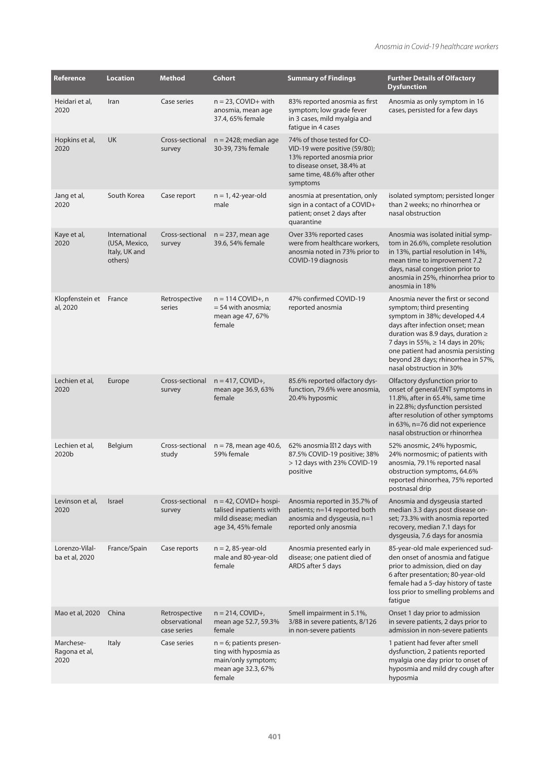| Reference                          | <b>Location</b>                                            | Method                                        | <b>Cohort</b>                                                                                             | <b>Summary of Findings</b>                                                                                                                                           | <b>Further Details of Olfactory</b><br><b>Dysfunction</b>                                                                                                                                                                                                                                                                 |
|------------------------------------|------------------------------------------------------------|-----------------------------------------------|-----------------------------------------------------------------------------------------------------------|----------------------------------------------------------------------------------------------------------------------------------------------------------------------|---------------------------------------------------------------------------------------------------------------------------------------------------------------------------------------------------------------------------------------------------------------------------------------------------------------------------|
| Heidari et al,<br>2020             | Iran                                                       | Case series                                   | $n = 23$ , COVID+ with<br>anosmia, mean age<br>37.4, 65% female                                           | 83% reported anosmia as first<br>symptom; low grade fever<br>in 3 cases, mild myalgia and<br>fatique in 4 cases                                                      | Anosmia as only symptom in 16<br>cases, persisted for a few days                                                                                                                                                                                                                                                          |
| Hopkins et al,<br>2020             | <b>UK</b>                                                  | Cross-sectional<br>survey                     | $n = 2428$ ; median age<br>30-39, 73% female                                                              | 74% of those tested for CO-<br>VID-19 were positive (59/80);<br>13% reported anosmia prior<br>to disease onset, 38.4% at<br>same time, 48.6% after other<br>symptoms |                                                                                                                                                                                                                                                                                                                           |
| Jang et al,<br>2020                | South Korea                                                | Case report                                   | $n = 1, 42$ -year-old<br>male                                                                             | anosmia at presentation, only<br>sign in a contact of a COVID+<br>patient; onset 2 days after<br>quarantine                                                          | isolated symptom; persisted longer<br>than 2 weeks; no rhinorrhea or<br>nasal obstruction                                                                                                                                                                                                                                 |
| Kaye et al,<br>2020                | International<br>(USA, Mexico,<br>Italy, UK and<br>others) | Cross-sectional<br>survey                     | $n = 237$ , mean age<br>39.6, 54% female                                                                  | Over 33% reported cases<br>were from healthcare workers,<br>anosmia noted in 73% prior to<br>COVID-19 diagnosis                                                      | Anosmia was isolated initial symp-<br>tom in 26.6%, complete resolution<br>in 13%, partial resolution in 14%,<br>mean time to improvement 7.2<br>days, nasal congestion prior to<br>anosmia in 25%, rhinorrhea prior to<br>anosmia in 18%                                                                                 |
| Klopfenstein et France<br>al, 2020 |                                                            | Retrospective<br>series                       | $n = 114$ COVID+, n<br>$=$ 54 with anosmia;<br>mean age 47, 67%<br>female                                 | 47% confirmed COVID-19<br>reported anosmia                                                                                                                           | Anosmia never the first or second<br>symptom; third presenting<br>symptom in 38%; developed 4.4<br>days after infection onset; mean<br>duration was 8.9 days, duration $\geq$<br>7 days in 55%, ≥ 14 days in 20%;<br>one patient had anosmia persisting<br>beyond 28 days; rhinorrhea in 57%,<br>nasal obstruction in 30% |
| Lechien et al,<br>2020             | Europe                                                     | Cross-sectional<br>survey                     | $n = 417$ , COVID+,<br>mean age 36.9, 63%<br>female                                                       | 85.6% reported olfactory dys-<br>function, 79.6% were anosmia,<br>20.4% hyposmic                                                                                     | Olfactory dysfunction prior to<br>onset of general/ENT symptoms in<br>11.8%, after in 65.4%, same time<br>in 22.8%; dysfunction persisted<br>after resolution of other symptoms<br>in 63%, n=76 did not experience<br>nasal obstruction or rhinorrhea                                                                     |
| Lechien et al,<br>2020b            | Belgium                                                    | Cross-sectional<br>study                      | $n = 78$ , mean age 40.6,<br>59% female                                                                   | 62% anosmia 12 days with<br>87.5% COVID-19 positive; 38%<br>> 12 days with 23% COVID-19<br>positive                                                                  | 52% anosmic, 24% hyposmic,<br>24% normosmic; of patients with<br>anosmia, 79.1% reported nasal<br>obstruction symptoms, 64.6%<br>reported rhinorrhea, 75% reported<br>postnasal drip                                                                                                                                      |
| Levinson et al,<br>2020            | Israel                                                     | Cross-sectional<br>survey                     | $n = 42$ , COVID+ hospi-<br>talised inpatients with<br>mild disease; median<br>age 34, 45% female         | Anosmia reported in 35.7% of<br>patients; n=14 reported both<br>anosmia and dysgeusia, n=1<br>reported only anosmia                                                  | Anosmia and dysgeusia started<br>median 3.3 days post disease on-<br>set; 73.3% with anosmia reported<br>recovery, median 7.1 days for<br>dysgeusia, 7.6 days for anosmia                                                                                                                                                 |
| Lorenzo-Vilal-<br>ba et al, 2020   | France/Spain                                               | Case reports                                  | $n = 2$ , 85-year-old<br>male and 80-year-old<br>female                                                   | Anosmia presented early in<br>disease; one patient died of<br>ARDS after 5 days                                                                                      | 85-year-old male experienced sud-<br>den onset of anosmia and fatigue<br>prior to admission, died on day<br>6 after presentation; 80-year-old<br>female had a 5-day history of taste<br>loss prior to smelling problems and<br>fatigue                                                                                    |
| Mao et al, 2020                    | China                                                      | Retrospective<br>observational<br>case series | $n = 214$ , COVID+,<br>mean age 52.7, 59.3%<br>female                                                     | Smell impairment in 5.1%,<br>3/88 in severe patients, 8/126<br>in non-severe patients                                                                                | Onset 1 day prior to admission<br>in severe patients, 2 days prior to<br>admission in non-severe patients                                                                                                                                                                                                                 |
| Marchese-<br>Ragona et al,<br>2020 | <b>Italy</b>                                               | Case series                                   | $n = 6$ ; patients presen-<br>ting with hyposmia as<br>main/only symptom;<br>mean age 32.3, 67%<br>female |                                                                                                                                                                      | 1 patient had fever after smell<br>dysfunction, 2 patients reported<br>myalgia one day prior to onset of<br>hyposmia and mild dry cough after<br>hyposmia                                                                                                                                                                 |